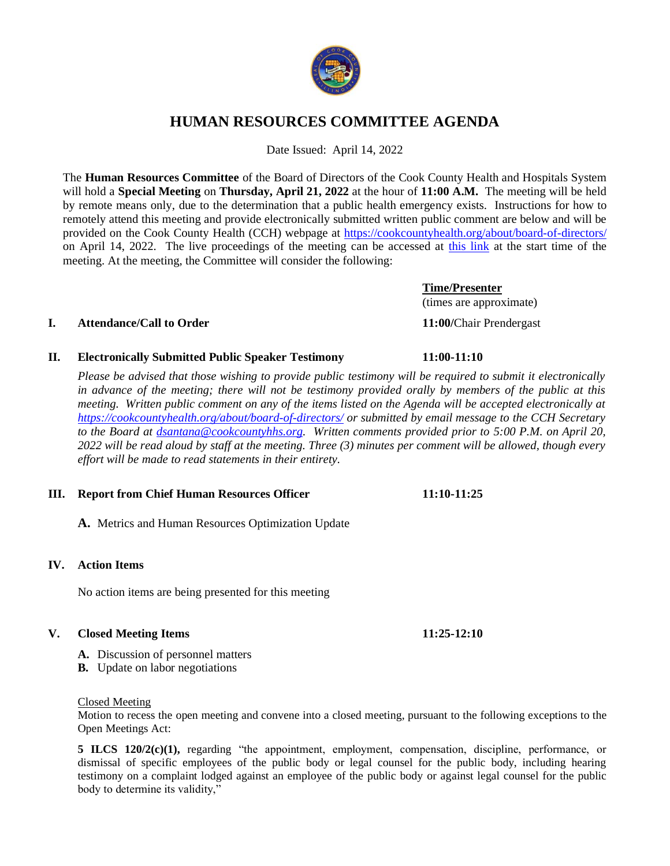# **HUMAN RESOURCES COMMITTEE AGENDA**

Date Issued: April 14, 2022

The **Human Resources Committee** of the Board of Directors of the Cook County Health and Hospitals System will hold a **Special Meeting** on **Thursday, April 21, 2022** at the hour of **11:00 A.M.** The meeting will be held by remote means only, due to the determination that a public health emergency exists. Instructions for how to remotely attend this meeting and provide electronically submitted written public comment are below and will be provided on the Cook County Health (CCH) webpage at<https://cookcountyhealth.org/about/board-of-directors/> on April 14, 2022. The live proceedings of the meeting can be accessed at [this link](https://www.youtube.com/channel/UCj9DT_l0RU-MVC-_u-tOkZA) at the start time of the meeting. At the meeting, the Committee will consider the following:

# **I. Attendance/Call to Order 11:00/**Chair Prendergast

# **II. Electronically Submitted Public Speaker Testimony 11:00-11:10**

*Please be advised that those wishing to provide public testimony will be required to submit it electronically in advance of the meeting; there will not be testimony provided orally by members of the public at this meeting. Written public comment on any of the items listed on the Agenda will be accepted electronically at <https://cookcountyhealth.org/about/board-of-directors/> or submitted by email message to the CCH Secretary to the Board at [dsantana@cookcountyhhs.org.](mailto:dsantana@cookcountyhhs.org) Written comments provided prior to 5:00 P.M. on April 20, 2022 will be read aloud by staff at the meeting. Three (3) minutes per comment will be allowed, though every effort will be made to read statements in their entirety.*

### **III. Report from Chief Human Resources Officer 11:10-11:25**

**A.** Metrics and Human Resources Optimization Update

# **IV. Action Items**

No action items are being presented for this meeting

## **V. Closed Meeting Items 11:25-12:10**

- **A.** Discussion of personnel matters
- **B.** Update on labor negotiations

### Closed Meeting

Motion to recess the open meeting and convene into a closed meeting, pursuant to the following exceptions to the Open Meetings Act:

**5 ILCS 120/2(c)(1),** regarding "the appointment, employment, compensation, discipline, performance, or dismissal of specific employees of the public body or legal counsel for the public body, including hearing testimony on a complaint lodged against an employee of the public body or against legal counsel for the public body to determine its validity,"

(times are approximate)

**Time/Presenter**